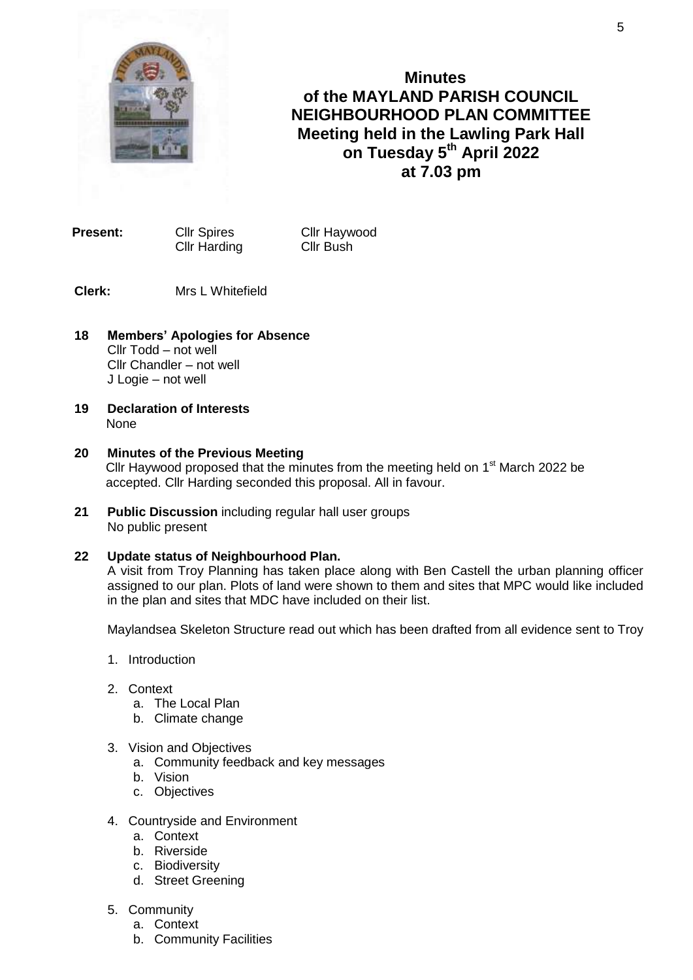

**Minutes of the MAYLAND PARISH COUNCIL NEIGHBOURHOOD PLAN COMMITTEE Meeting held in the Lawling Park Hall on Tuesday 5 th April 2022 at 7.03 pm**

**Present:** Cllr Spires Cllr Haywood Cllr Harding Cllr Bush

**Clerk:** Mrs L Whitefield

- **18 Members' Apologies for Absence** Cllr Todd – not well Cllr Chandler – not well J Logie – not well
- **19 Declaration of Interests** None
- **20 Minutes of the Previous Meeting**  Cllr Haywood proposed that the minutes from the meeting held on  $1<sup>st</sup>$  March 2022 be accepted. Cllr Harding seconded this proposal. All in favour.
- **21 Public Discussion** including regular hall user groups No public present

# **22 Update status of Neighbourhood Plan.**

A visit from Troy Planning has taken place along with Ben Castell the urban planning officer assigned to our plan. Plots of land were shown to them and sites that MPC would like included in the plan and sites that MDC have included on their list.

Maylandsea Skeleton Structure read out which has been drafted from all evidence sent to Troy

- 1. Introduction
- 2. Context
	- a. The Local Plan
	- b. Climate change
- 3. Vision and Objectives
	- a. Community feedback and key messages
	- b. Vision
	- c. Objectives
- 4. Countryside and Environment
	- a. Context
	- b. Riverside
	- c. Biodiversity
	- d. Street Greening
- 5. Community
	- a. Context
	- b. Community Facilities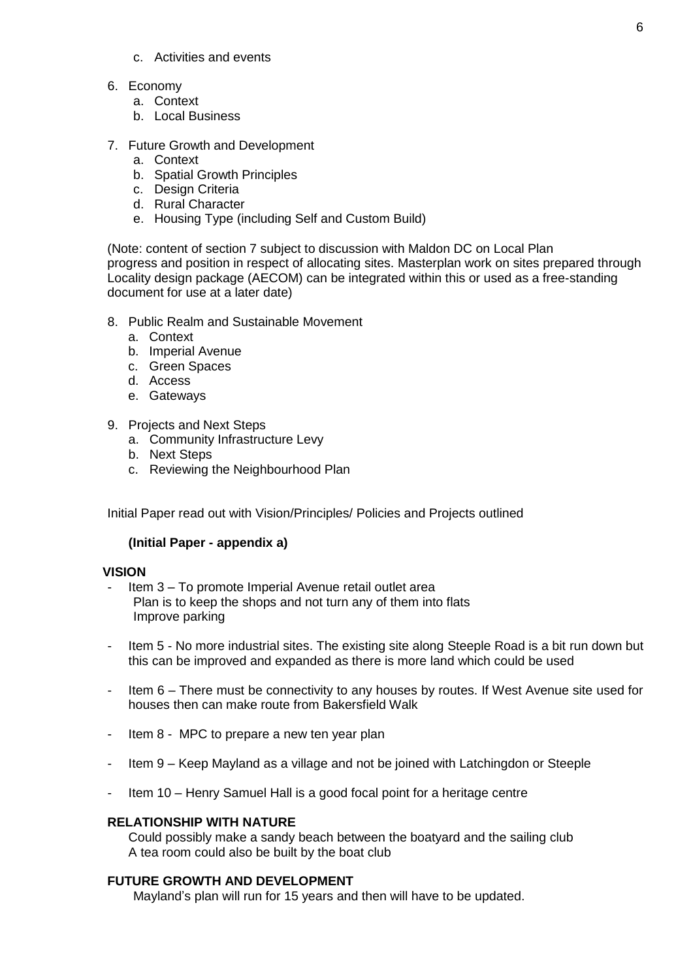- c. Activities and events
- 6. Economy
	- a. Context
	- b. Local Business
- 7. Future Growth and Development
	- a. Context
	- b. Spatial Growth Principles
	- c. Design Criteria
	- d. Rural Character
	- e. Housing Type (including Self and Custom Build)

(Note: content of section 7 subject to discussion with Maldon DC on Local Plan progress and position in respect of allocating sites. Masterplan work on sites prepared through Locality design package (AECOM) can be integrated within this or used as a free-standing document for use at a later date)

- 8. Public Realm and Sustainable Movement
	- a. Context
	- b. Imperial Avenue
	- c. Green Spaces
	- d. Access
	- e. Gateways
- 9. Projects and Next Steps
	- a. Community Infrastructure Levy
	- b. Next Steps
	- c. Reviewing the Neighbourhood Plan

Initial Paper read out with Vision/Principles/ Policies and Projects outlined

#### **(Initial Paper - appendix a)**

#### **VISION**

- Item 3 To promote Imperial Avenue retail outlet area Plan is to keep the shops and not turn any of them into flats Improve parking
- Item 5 No more industrial sites. The existing site along Steeple Road is a bit run down but this can be improved and expanded as there is more land which could be used
- Item 6 There must be connectivity to any houses by routes. If West Avenue site used for houses then can make route from Bakersfield Walk
- Item 8 MPC to prepare a new ten year plan
- Item 9 Keep Mayland as a village and not be joined with Latchingdon or Steeple
- Item 10 Henry Samuel Hall is a good focal point for a heritage centre

## **RELATIONSHIP WITH NATURE**

Could possibly make a sandy beach between the boatyard and the sailing club A tea room could also be built by the boat club

#### **FUTURE GROWTH AND DEVELOPMENT**

Mayland's plan will run for 15 years and then will have to be updated.